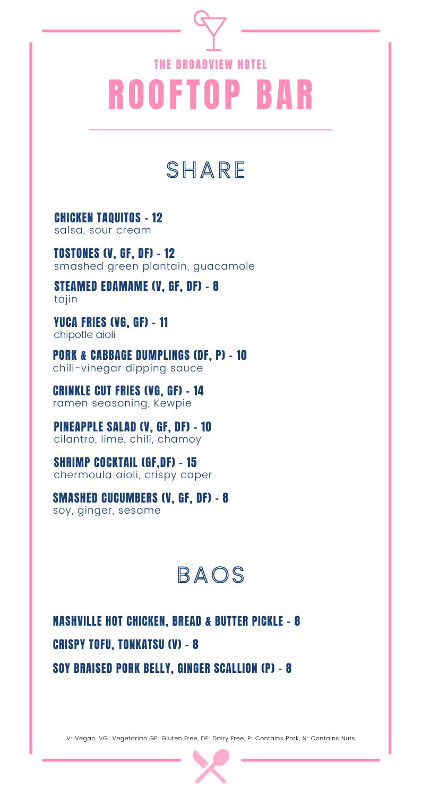# ROOFTOP BAR THE BROADVIEW HOTEL

## SHARE

CHICKEN TAQUITOS - 12 salsa, sour cream

TOSTONES (V, GF, DF) - 12 smashed green plantain, guacamole

STEAMED EDAMAME (V, GF, DF) - 8 tajin

YUCA FRIES (VG, GF) - 11 chipotle aioli

PORK & CABBAGE DUMPLINGS (DF, P) - 10 chili-vinegar dipping sauce

CRINKLE CUT FRIES (VG, GF) - 14 ramen seasoning, Kewpie

PINEAPPLE SALAD (V, GF, DF) - 10 cilantro, lime, chili, chamoy

SHRIMP COCKTAIL (GF,DF) - 15 chermoula aioli, crispy caper

SMASHED CUCUMBERS (V, GF, DF) - 8 soy, ginger, sesame

### BAOS

NASHVILLE HOT CHICKEN, BREAD & BUTTER PICKLE - 8 CRISPY TOFU, TONKATSU (V) - 8

SOY BRAISED PORK BELLY, GINGER SCALLION (P) - 8

V: Vegan, VG: Vegetarian GF: Gluten Free, DF: Dairy Free, P: Contains Pork, N: Contains Nuts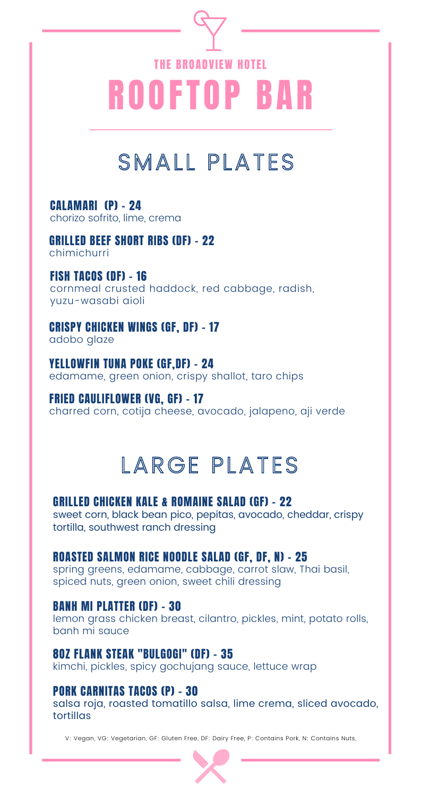# ROOFTOP BAR THE BROADVIEW HOTEL

# SMALL PLATES

#### CALAMARI (P) - 24

chorizo sofrito, lime, crema

GRILLED BEEF SHORT RIBS (DF) - 22 chimichurri

#### FISH TACOS (DF) - 16

cornmeal crusted haddock, red cabbage, radish, yuzu-wasabi aioli

#### CRISPY CHICKEN WINGS (GF, DF) - 17

adobo glaze

#### YELLOWFIN TUNA POKE (GF,DF) - 24

edamame, green onion, crispy shallot, taro chips

#### FRIED CAULIFLOWER (VG, GF) - 17

charred corn, cotija cheese, avocado, jalapeno, aji verde

# **LARGE PLATES**

#### GRILLED CHICKEN KALE & ROMAINE SALAD (GF) - 22

sweet corn, black bean pico, pepitas, avocado, cheddar, crispy tortilla, southwest ranch dressing

#### ROASTED SALMON RICE NOODLE SALAD (GF, DF, N) - 25

spring greens, edamame, cabbage, carrot slaw, Thai basil, spiced nuts, green onion, sweet chili dressing

#### BANH MI PLATTER (DF) - 30

lemon grass chicken breast, cilantro, pickles, mint, potato rolls, banh mi sauce

#### 8OZ FLANK STEAK "BULGOGI" (DF) - 35

kimchi, pickles, spicy gochujang sauce, lettuce wrap

#### PORK CARNITAS TACOS (P) - 30

salsa roja, roasted tomatillo salsa, lime crema, sliced avocado, tortillas

V: Vegan, VG: Vegetarian, GF: Gluten Free, DF: Dairy Free, P: Contains Pork, N: Contains Nuts,

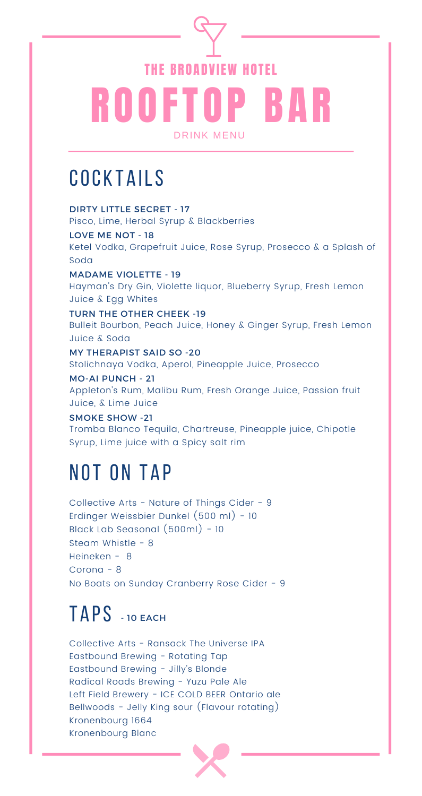# ROOFTOP BAR DRINK MENU THE BROADVIEW HOTEL

## COCK TAILS

DIRTY LITTLE SECRET - 17 Pisco, Lime, Herbal Syrup & Blackberries

LOVE ME NOT - 18 Ketel Vodka, Grapefruit Juice, Rose Syrup, Prosecco & a Splash of Soda

MADAME VIOLETTE - 19 Hayman's Dry Gin, Violette liquor, Blueberry Syrup, Fresh Lemon Juice & Egg Whites

TURN THE OTHER CHEEK -19 Bulleit Bourbon, Peach Juice, Honey & Ginger Syrup, Fresh Lemon Juice & Soda

MY THERAPIST SAID SO -20 Stolichnaya Vodka, Aperol, Pineapple Juice, Prosecco

MO-AI PUNCH - 21 Appleton's Rum, Malibu Rum, Fresh Orange Juice, Passion fruit Juice, & Lime Juice

SMOKE SHOW -21 Tromba Blanco Tequila, Chartreuse, Pineapple juice, Chipotle Syrup, Lime juice with a Spicy salt rim

### NOT ON TAP

Collective Arts - Nature of Things Cider - 9 Erdinger Weissbier Dunkel (500 ml) - 10 Black Lab Seasonal (500ml) - 10 Steam Whistle - 8 Heineken - 8 Corona - 8 No Boats on Sunday Cranberry Rose Cider - 9

## T A PS - <sup>10</sup> EACH

Collective Arts - Ransack The Universe IPA Eastbound Brewing - Rotating Tap Eastbound Brewing - Jilly's Blonde Radical Roads Brewing - Yuzu Pale Ale Left Field Brewery - ICE COLD BEER Ontario ale Bellwoods - Jelly King sour (Flavour rotating) Kronenbourg 1664 Kronenbourg Blanc